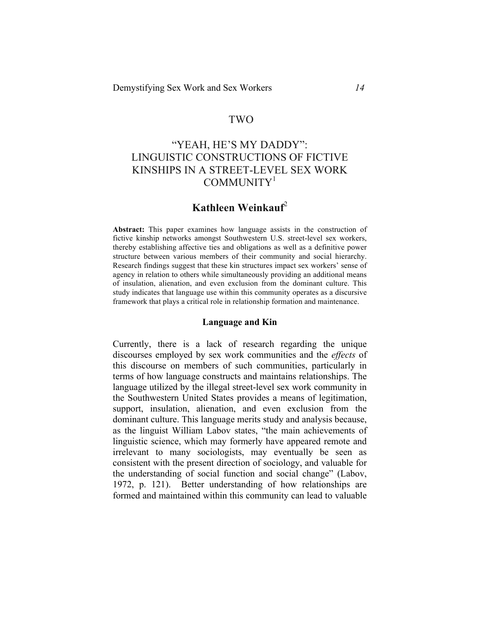# TWO

# "YEAH, HE'S MY DADDY": LINGUISTIC CONSTRUCTIONS OF FICTIVE KINSHIPS IN A STREET-LEVEL SEX WORK COMMUNITY<sup>1</sup>

# **Kathleen Weinkauf**<sup>2</sup>

**Abstract:** This paper examines how language assists in the construction of fictive kinship networks amongst Southwestern U.S. street-level sex workers, thereby establishing affective ties and obligations as well as a definitive power structure between various members of their community and social hierarchy. Research findings suggest that these kin structures impact sex workers' sense of agency in relation to others while simultaneously providing an additional means of insulation, alienation, and even exclusion from the dominant culture. This study indicates that language use within this community operates as a discursive framework that plays a critical role in relationship formation and maintenance.

#### **Language and Kin**

Currently, there is a lack of research regarding the unique discourses employed by sex work communities and the *effects* of this discourse on members of such communities, particularly in terms of how language constructs and maintains relationships. The language utilized by the illegal street-level sex work community in the Southwestern United States provides a means of legitimation, support, insulation, alienation, and even exclusion from the dominant culture. This language merits study and analysis because, as the linguist William Labov states, "the main achievements of linguistic science, which may formerly have appeared remote and irrelevant to many sociologists, may eventually be seen as consistent with the present direction of sociology, and valuable for the understanding of social function and social change" (Labov, 1972, p. 121). Better understanding of how relationships are formed and maintained within this community can lead to valuable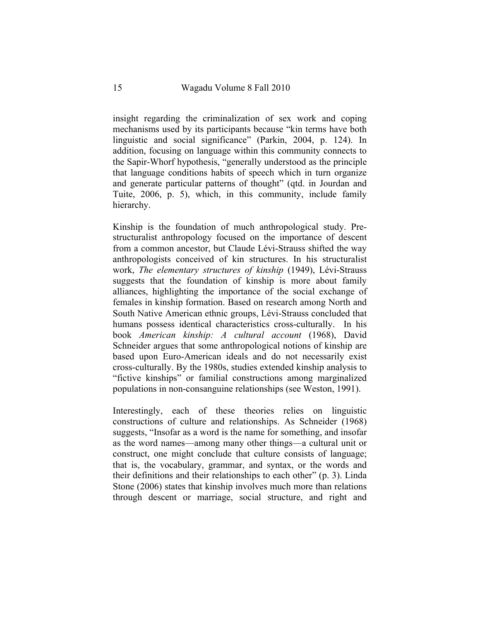insight regarding the criminalization of sex work and coping mechanisms used by its participants because "kin terms have both linguistic and social significance" (Parkin, 2004, p. 124). In addition, focusing on language within this community connects to the Sapir-Whorf hypothesis, "generally understood as the principle that language conditions habits of speech which in turn organize and generate particular patterns of thought" (qtd. in Jourdan and Tuite, 2006, p. 5), which, in this community, include family hierarchy.

Kinship is the foundation of much anthropological study. Prestructuralist anthropology focused on the importance of descent from a common ancestor, but Claude Lévi-Strauss shifted the way anthropologists conceived of kin structures. In his structuralist work, *The elementary structures of kinship* (1949), Lévi-Strauss suggests that the foundation of kinship is more about family alliances, highlighting the importance of the social exchange of females in kinship formation. Based on research among North and South Native American ethnic groups, Lévi-Strauss concluded that humans possess identical characteristics cross-culturally. In his book *American kinship: A cultural account* (1968), David Schneider argues that some anthropological notions of kinship are based upon Euro-American ideals and do not necessarily exist cross-culturally. By the 1980s, studies extended kinship analysis to "fictive kinships" or familial constructions among marginalized populations in non-consanguine relationships (see Weston, 1991).

Interestingly, each of these theories relies on linguistic constructions of culture and relationships. As Schneider (1968) suggests, "Insofar as a word is the name for something, and insofar as the word names—among many other things—a cultural unit or construct, one might conclude that culture consists of language; that is, the vocabulary, grammar, and syntax, or the words and their definitions and their relationships to each other" (p. 3). Linda Stone (2006) states that kinship involves much more than relations through descent or marriage, social structure, and right and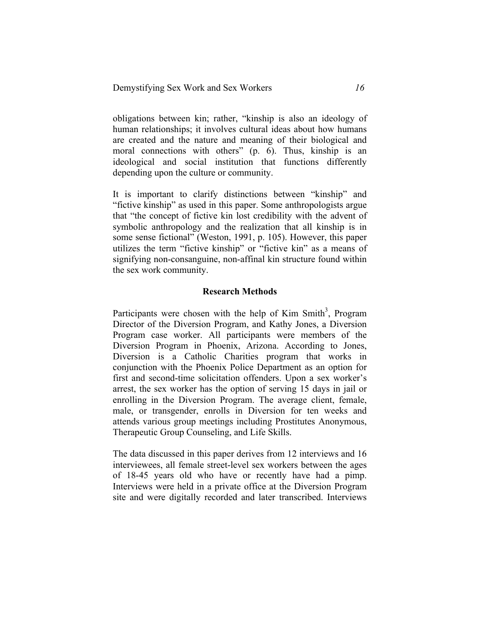obligations between kin; rather, "kinship is also an ideology of human relationships; it involves cultural ideas about how humans are created and the nature and meaning of their biological and moral connections with others" (p. 6). Thus, kinship is an ideological and social institution that functions differently depending upon the culture or community.

It is important to clarify distinctions between "kinship" and "fictive kinship" as used in this paper. Some anthropologists argue that "the concept of fictive kin lost credibility with the advent of symbolic anthropology and the realization that all kinship is in some sense fictional" (Weston, 1991, p. 105). However, this paper utilizes the term "fictive kinship" or "fictive kin" as a means of signifying non-consanguine, non-affinal kin structure found within the sex work community.

#### **Research Methods**

Participants were chosen with the help of Kim Smith<sup>3</sup>, Program Director of the Diversion Program, and Kathy Jones, a Diversion Program case worker. All participants were members of the Diversion Program in Phoenix, Arizona. According to Jones, Diversion is a Catholic Charities program that works in conjunction with the Phoenix Police Department as an option for first and second-time solicitation offenders. Upon a sex worker's arrest, the sex worker has the option of serving 15 days in jail or enrolling in the Diversion Program. The average client, female, male, or transgender, enrolls in Diversion for ten weeks and attends various group meetings including Prostitutes Anonymous, Therapeutic Group Counseling, and Life Skills.

The data discussed in this paper derives from 12 interviews and 16 interviewees, all female street-level sex workers between the ages of 18-45 years old who have or recently have had a pimp. Interviews were held in a private office at the Diversion Program site and were digitally recorded and later transcribed. Interviews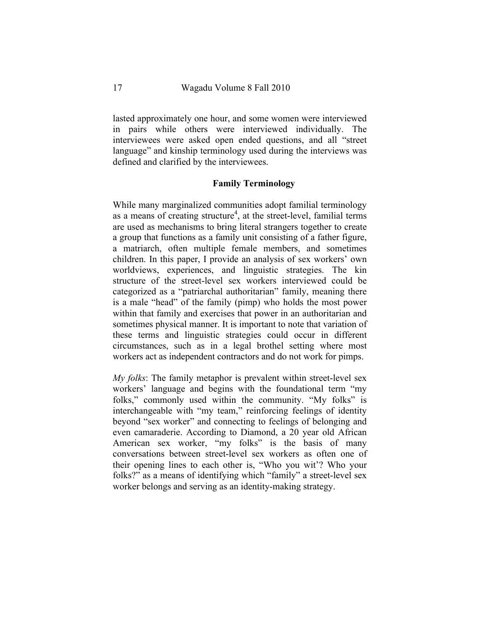lasted approximately one hour, and some women were interviewed in pairs while others were interviewed individually. The interviewees were asked open ended questions, and all "street language" and kinship terminology used during the interviews was defined and clarified by the interviewees.

### **Family Terminology**

While many marginalized communities adopt familial terminology as a means of creating structure<sup>4</sup>, at the street-level, familial terms are used as mechanisms to bring literal strangers together to create a group that functions as a family unit consisting of a father figure, a matriarch, often multiple female members, and sometimes children. In this paper, I provide an analysis of sex workers' own worldviews, experiences, and linguistic strategies. The kin structure of the street-level sex workers interviewed could be categorized as a "patriarchal authoritarian" family, meaning there is a male "head" of the family (pimp) who holds the most power within that family and exercises that power in an authoritarian and sometimes physical manner. It is important to note that variation of these terms and linguistic strategies could occur in different circumstances, such as in a legal brothel setting where most workers act as independent contractors and do not work for pimps.

*My folks*: The family metaphor is prevalent within street-level sex workers' language and begins with the foundational term "my folks," commonly used within the community. "My folks" is interchangeable with "my team," reinforcing feelings of identity beyond "sex worker" and connecting to feelings of belonging and even camaraderie. According to Diamond, a 20 year old African American sex worker, "my folks" is the basis of many conversations between street-level sex workers as often one of their opening lines to each other is, "Who you wit'? Who your folks?" as a means of identifying which "family" a street-level sex worker belongs and serving as an identity-making strategy.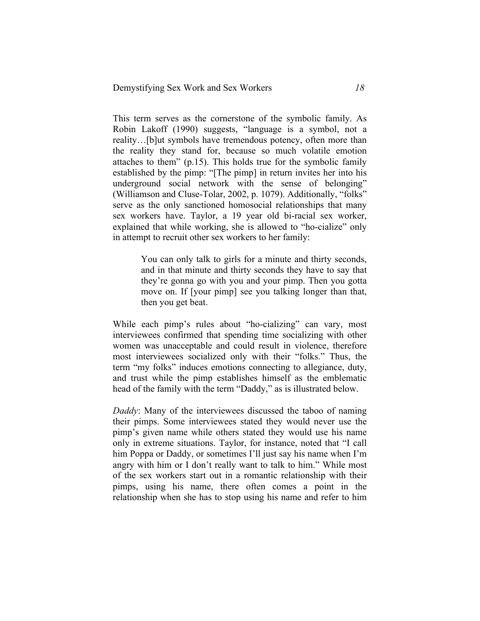This term serves as the cornerstone of the symbolic family. As Robin Lakoff (1990) suggests, "language is a symbol, not a reality…[b]ut symbols have tremendous potency, often more than the reality they stand for, because so much volatile emotion attaches to them" (p.15). This holds true for the symbolic family established by the pimp: "[The pimp] in return invites her into his underground social network with the sense of belonging" (Williamson and Cluse-Tolar, 2002, p. 1079). Additionally, "folks" serve as the only sanctioned homosocial relationships that many sex workers have. Taylor, a 19 year old bi-racial sex worker, explained that while working, she is allowed to "ho-cialize" only in attempt to recruit other sex workers to her family:

> You can only talk to girls for a minute and thirty seconds, and in that minute and thirty seconds they have to say that they're gonna go with you and your pimp. Then you gotta move on. If [your pimp] see you talking longer than that, then you get beat.

While each pimp's rules about "ho-cializing" can vary, most interviewees confirmed that spending time socializing with other women was unacceptable and could result in violence, therefore most interviewees socialized only with their "folks." Thus, the term "my folks" induces emotions connecting to allegiance, duty, and trust while the pimp establishes himself as the emblematic head of the family with the term "Daddy," as is illustrated below.

*Daddy*: Many of the interviewees discussed the taboo of naming their pimps. Some interviewees stated they would never use the pimp's given name while others stated they would use his name only in extreme situations. Taylor, for instance, noted that "I call him Poppa or Daddy, or sometimes I'll just say his name when I'm angry with him or I don't really want to talk to him." While most of the sex workers start out in a romantic relationship with their pimps, using his name, there often comes a point in the relationship when she has to stop using his name and refer to him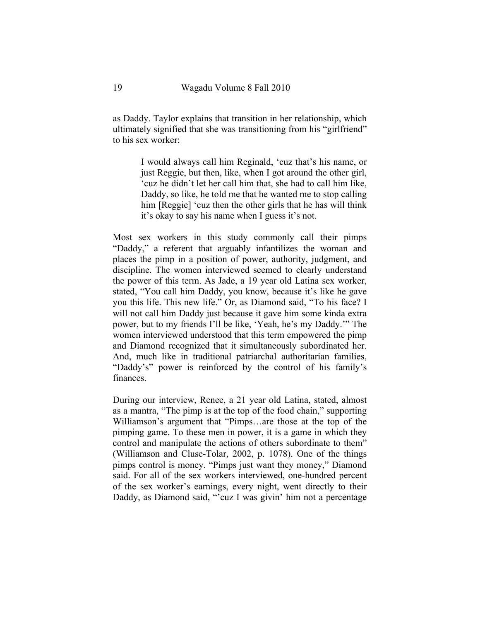as Daddy. Taylor explains that transition in her relationship, which ultimately signified that she was transitioning from his "girlfriend" to his sex worker:

> I would always call him Reginald, 'cuz that's his name, or just Reggie, but then, like, when I got around the other girl, 'cuz he didn't let her call him that, she had to call him like, Daddy, so like, he told me that he wanted me to stop calling him [Reggie] 'cuz then the other girls that he has will think it's okay to say his name when I guess it's not.

Most sex workers in this study commonly call their pimps "Daddy," a referent that arguably infantilizes the woman and places the pimp in a position of power, authority, judgment, and discipline. The women interviewed seemed to clearly understand the power of this term. As Jade, a 19 year old Latina sex worker, stated, "You call him Daddy, you know, because it's like he gave you this life. This new life." Or, as Diamond said, "To his face? I will not call him Daddy just because it gave him some kinda extra power, but to my friends I'll be like, 'Yeah, he's my Daddy.'" The women interviewed understood that this term empowered the pimp and Diamond recognized that it simultaneously subordinated her. And, much like in traditional patriarchal authoritarian families, "Daddy's" power is reinforced by the control of his family's finances.

During our interview, Renee, a 21 year old Latina, stated, almost as a mantra, "The pimp is at the top of the food chain," supporting Williamson's argument that "Pimps…are those at the top of the pimping game. To these men in power, it is a game in which they control and manipulate the actions of others subordinate to them" (Williamson and Cluse-Tolar, 2002, p. 1078). One of the things pimps control is money. "Pimps just want they money," Diamond said. For all of the sex workers interviewed, one-hundred percent of the sex worker's earnings, every night, went directly to their Daddy, as Diamond said, "'cuz I was givin' him not a percentage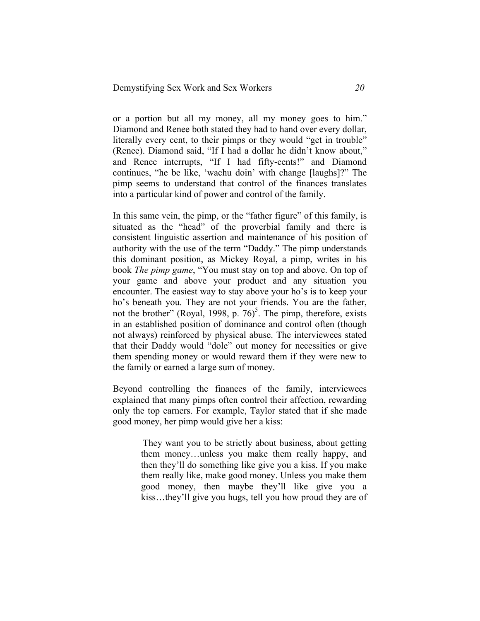or a portion but all my money, all my money goes to him." Diamond and Renee both stated they had to hand over every dollar, literally every cent, to their pimps or they would "get in trouble" (Renee). Diamond said, "If I had a dollar he didn't know about," and Renee interrupts, "If I had fifty-cents!" and Diamond continues, "he be like, 'wachu doin' with change [laughs]?" The pimp seems to understand that control of the finances translates into a particular kind of power and control of the family.

In this same vein, the pimp, or the "father figure" of this family, is situated as the "head" of the proverbial family and there is consistent linguistic assertion and maintenance of his position of authority with the use of the term "Daddy." The pimp understands this dominant position, as Mickey Royal, a pimp, writes in his book *The pimp game*, "You must stay on top and above. On top of your game and above your product and any situation you encounter. The easiest way to stay above your ho's is to keep your ho's beneath you. They are not your friends. You are the father, not the brother" (Royal, 1998, p.  $76$ )<sup>5</sup>. The pimp, therefore, exists in an established position of dominance and control often (though not always) reinforced by physical abuse. The interviewees stated that their Daddy would "dole" out money for necessities or give them spending money or would reward them if they were new to the family or earned a large sum of money.

Beyond controlling the finances of the family, interviewees explained that many pimps often control their affection, rewarding only the top earners. For example, Taylor stated that if she made good money, her pimp would give her a kiss:

> They want you to be strictly about business, about getting them money…unless you make them really happy, and then they'll do something like give you a kiss. If you make them really like, make good money. Unless you make them good money, then maybe they'll like give you a kiss…they'll give you hugs, tell you how proud they are of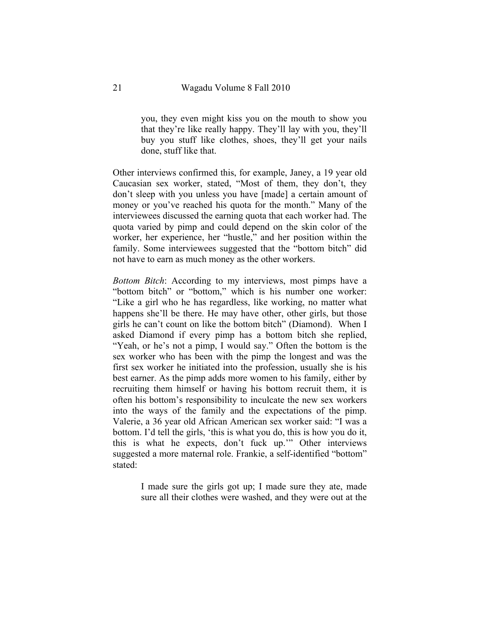you, they even might kiss you on the mouth to show you that they're like really happy. They'll lay with you, they'll buy you stuff like clothes, shoes, they'll get your nails done, stuff like that.

Other interviews confirmed this, for example, Janey, a 19 year old Caucasian sex worker, stated, "Most of them, they don't, they don't sleep with you unless you have [made] a certain amount of money or you've reached his quota for the month." Many of the interviewees discussed the earning quota that each worker had. The quota varied by pimp and could depend on the skin color of the worker, her experience, her "hustle," and her position within the family. Some interviewees suggested that the "bottom bitch" did not have to earn as much money as the other workers.

*Bottom Bitch*: According to my interviews, most pimps have a "bottom bitch" or "bottom," which is his number one worker: "Like a girl who he has regardless, like working, no matter what happens she'll be there. He may have other, other girls, but those girls he can't count on like the bottom bitch" (Diamond). When I asked Diamond if every pimp has a bottom bitch she replied, "Yeah, or he's not a pimp, I would say." Often the bottom is the sex worker who has been with the pimp the longest and was the first sex worker he initiated into the profession, usually she is his best earner. As the pimp adds more women to his family, either by recruiting them himself or having his bottom recruit them, it is often his bottom's responsibility to inculcate the new sex workers into the ways of the family and the expectations of the pimp. Valerie, a 36 year old African American sex worker said: "I was a bottom. I'd tell the girls, 'this is what you do, this is how you do it, this is what he expects, don't fuck up.'" Other interviews suggested a more maternal role. Frankie, a self-identified "bottom" stated:

> I made sure the girls got up; I made sure they ate, made sure all their clothes were washed, and they were out at the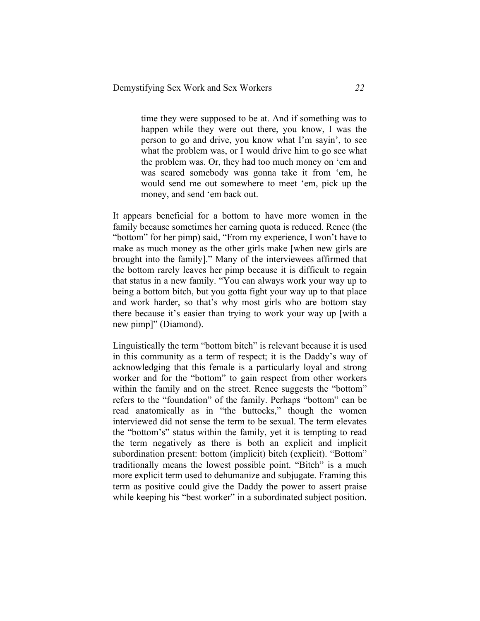time they were supposed to be at. And if something was to happen while they were out there, you know, I was the person to go and drive, you know what I'm sayin', to see what the problem was, or I would drive him to go see what the problem was. Or, they had too much money on 'em and was scared somebody was gonna take it from 'em, he would send me out somewhere to meet 'em, pick up the money, and send 'em back out.

It appears beneficial for a bottom to have more women in the family because sometimes her earning quota is reduced. Renee (the "bottom" for her pimp) said, "From my experience, I won't have to make as much money as the other girls make [when new girls are brought into the family]." Many of the interviewees affirmed that the bottom rarely leaves her pimp because it is difficult to regain that status in a new family. "You can always work your way up to being a bottom bitch, but you gotta fight your way up to that place and work harder, so that's why most girls who are bottom stay there because it's easier than trying to work your way up [with a new pimp]" (Diamond).

Linguistically the term "bottom bitch" is relevant because it is used in this community as a term of respect; it is the Daddy's way of acknowledging that this female is a particularly loyal and strong worker and for the "bottom" to gain respect from other workers within the family and on the street. Renee suggests the "bottom" refers to the "foundation" of the family. Perhaps "bottom" can be read anatomically as in "the buttocks," though the women interviewed did not sense the term to be sexual. The term elevates the "bottom's" status within the family, yet it is tempting to read the term negatively as there is both an explicit and implicit subordination present: bottom (implicit) bitch (explicit). "Bottom" traditionally means the lowest possible point. "Bitch" is a much more explicit term used to dehumanize and subjugate. Framing this term as positive could give the Daddy the power to assert praise while keeping his "best worker" in a subordinated subject position.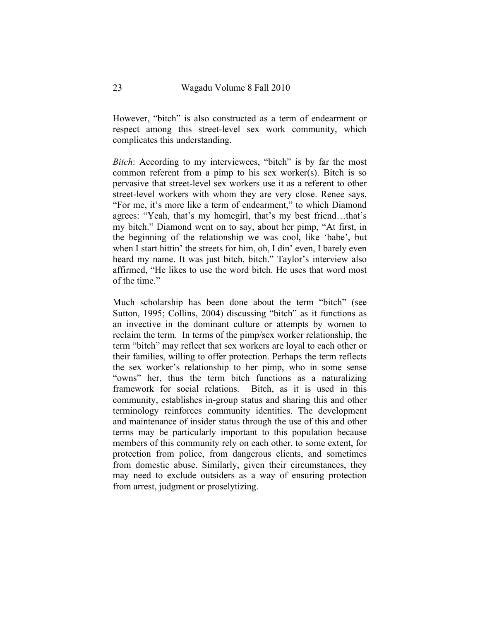However, "bitch" is also constructed as a term of endearment or respect among this street-level sex work community, which complicates this understanding.

*Bitch*: According to my interviewees, "bitch" is by far the most common referent from a pimp to his sex worker(s). Bitch is so pervasive that street-level sex workers use it as a referent to other street-level workers with whom they are very close. Renee says, "For me, it's more like a term of endearment," to which Diamond agrees: "Yeah, that's my homegirl, that's my best friend…that's my bitch." Diamond went on to say, about her pimp, "At first, in the beginning of the relationship we was cool, like 'babe', but when I start hittin' the streets for him, oh, I din' even, I barely even heard my name. It was just bitch, bitch." Taylor's interview also affirmed, "He likes to use the word bitch. He uses that word most of the time."

Much scholarship has been done about the term "bitch" (see Sutton, 1995; Collins, 2004) discussing "bitch" as it functions as an invective in the dominant culture or attempts by women to reclaim the term. In terms of the pimp/sex worker relationship, the term "bitch" may reflect that sex workers are loyal to each other or their families, willing to offer protection. Perhaps the term reflects the sex worker's relationship to her pimp, who in some sense "owns" her, thus the term bitch functions as a naturalizing framework for social relations. Bitch, as it is used in this community, establishes in-group status and sharing this and other terminology reinforces community identities. The development and maintenance of insider status through the use of this and other terms may be particularly important to this population because members of this community rely on each other, to some extent, for protection from police, from dangerous clients, and sometimes from domestic abuse. Similarly, given their circumstances, they may need to exclude outsiders as a way of ensuring protection from arrest, judgment or proselytizing.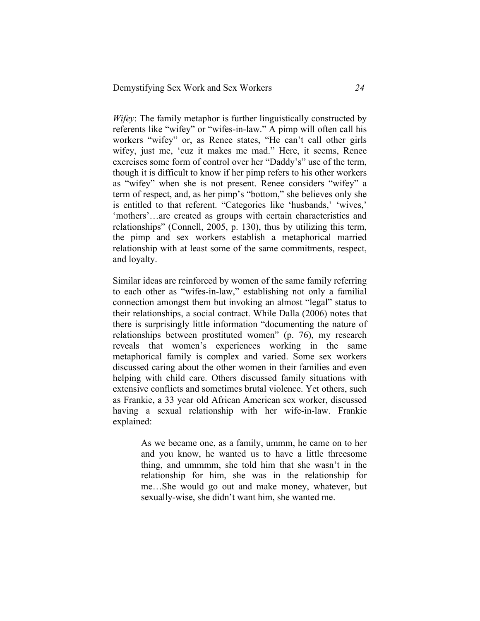*Wifey*: The family metaphor is further linguistically constructed by referents like "wifey" or "wifes-in-law." A pimp will often call his workers "wifey" or, as Renee states, "He can't call other girls wifey, just me, 'cuz it makes me mad." Here, it seems, Renee exercises some form of control over her "Daddy's" use of the term, though it is difficult to know if her pimp refers to his other workers as "wifey" when she is not present. Renee considers "wifey" a term of respect, and, as her pimp's "bottom," she believes only she is entitled to that referent. "Categories like 'husbands,' 'wives,' 'mothers'…are created as groups with certain characteristics and relationships" (Connell, 2005, p. 130), thus by utilizing this term, the pimp and sex workers establish a metaphorical married relationship with at least some of the same commitments, respect, and loyalty.

Similar ideas are reinforced by women of the same family referring to each other as "wifes-in-law," establishing not only a familial connection amongst them but invoking an almost "legal" status to their relationships, a social contract. While Dalla (2006) notes that there is surprisingly little information "documenting the nature of relationships between prostituted women" (p. 76), my research reveals that women's experiences working in the same metaphorical family is complex and varied. Some sex workers discussed caring about the other women in their families and even helping with child care. Others discussed family situations with extensive conflicts and sometimes brutal violence. Yet others, such as Frankie, a 33 year old African American sex worker, discussed having a sexual relationship with her wife-in-law. Frankie explained:

> As we became one, as a family, ummm, he came on to her and you know, he wanted us to have a little threesome thing, and ummmm, she told him that she wasn't in the relationship for him, she was in the relationship for me…She would go out and make money, whatever, but sexually-wise, she didn't want him, she wanted me.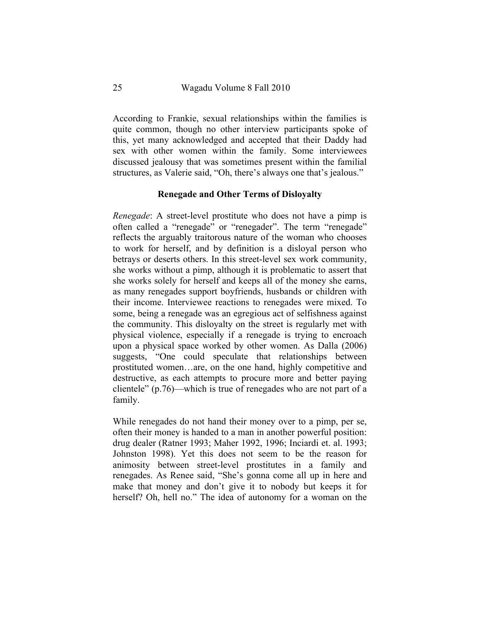According to Frankie, sexual relationships within the families is quite common, though no other interview participants spoke of this, yet many acknowledged and accepted that their Daddy had sex with other women within the family. Some interviewees discussed jealousy that was sometimes present within the familial structures, as Valerie said, "Oh, there's always one that's jealous."

### **Renegade and Other Terms of Disloyalty**

*Renegade*: A street-level prostitute who does not have a pimp is often called a "renegade" or "renegader". The term "renegade" reflects the arguably traitorous nature of the woman who chooses to work for herself, and by definition is a disloyal person who betrays or deserts others. In this street-level sex work community, she works without a pimp, although it is problematic to assert that she works solely for herself and keeps all of the money she earns, as many renegades support boyfriends, husbands or children with their income. Interviewee reactions to renegades were mixed. To some, being a renegade was an egregious act of selfishness against the community. This disloyalty on the street is regularly met with physical violence, especially if a renegade is trying to encroach upon a physical space worked by other women. As Dalla (2006) suggests, "One could speculate that relationships between prostituted women…are, on the one hand, highly competitive and destructive, as each attempts to procure more and better paying clientele" (p.76)—which is true of renegades who are not part of a family.

While renegades do not hand their money over to a pimp, per se, often their money is handed to a man in another powerful position: drug dealer (Ratner 1993; Maher 1992, 1996; Inciardi et. al. 1993; Johnston 1998). Yet this does not seem to be the reason for animosity between street-level prostitutes in a family and renegades. As Renee said, "She's gonna come all up in here and make that money and don't give it to nobody but keeps it for herself? Oh, hell no." The idea of autonomy for a woman on the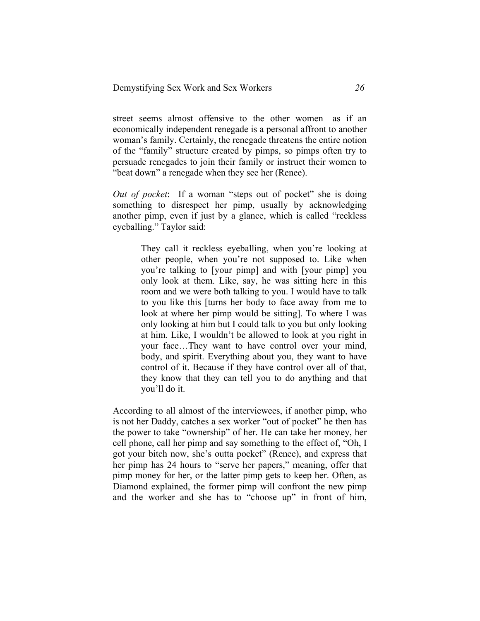street seems almost offensive to the other women—as if an economically independent renegade is a personal affront to another woman's family. Certainly, the renegade threatens the entire notion of the "family" structure created by pimps, so pimps often try to persuade renegades to join their family or instruct their women to "beat down" a renegade when they see her (Renee).

*Out of pocket*: If a woman "steps out of pocket" she is doing something to disrespect her pimp, usually by acknowledging another pimp, even if just by a glance, which is called "reckless eyeballing." Taylor said:

> They call it reckless eyeballing, when you're looking at other people, when you're not supposed to. Like when you're talking to [your pimp] and with [your pimp] you only look at them. Like, say, he was sitting here in this room and we were both talking to you. I would have to talk to you like this [turns her body to face away from me to look at where her pimp would be sitting]. To where I was only looking at him but I could talk to you but only looking at him. Like, I wouldn't be allowed to look at you right in your face…They want to have control over your mind, body, and spirit. Everything about you, they want to have control of it. Because if they have control over all of that, they know that they can tell you to do anything and that you'll do it.

According to all almost of the interviewees, if another pimp, who is not her Daddy, catches a sex worker "out of pocket" he then has the power to take "ownership" of her. He can take her money, her cell phone, call her pimp and say something to the effect of, "Oh, I got your bitch now, she's outta pocket" (Renee), and express that her pimp has 24 hours to "serve her papers," meaning, offer that pimp money for her, or the latter pimp gets to keep her. Often, as Diamond explained, the former pimp will confront the new pimp and the worker and she has to "choose up" in front of him,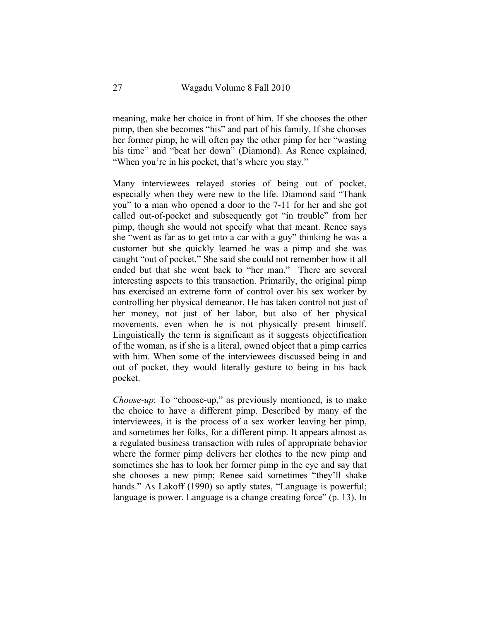meaning, make her choice in front of him. If she chooses the other pimp, then she becomes "his" and part of his family. If she chooses her former pimp, he will often pay the other pimp for her "wasting his time" and "beat her down" (Diamond). As Renee explained, "When you're in his pocket, that's where you stay."

Many interviewees relayed stories of being out of pocket, especially when they were new to the life. Diamond said "Thank you" to a man who opened a door to the 7-11 for her and she got called out-of-pocket and subsequently got "in trouble" from her pimp, though she would not specify what that meant. Renee says she "went as far as to get into a car with a guy" thinking he was a customer but she quickly learned he was a pimp and she was caught "out of pocket." She said she could not remember how it all ended but that she went back to "her man." There are several interesting aspects to this transaction. Primarily, the original pimp has exercised an extreme form of control over his sex worker by controlling her physical demeanor. He has taken control not just of her money, not just of her labor, but also of her physical movements, even when he is not physically present himself. Linguistically the term is significant as it suggests objectification of the woman, as if she is a literal, owned object that a pimp carries with him. When some of the interviewees discussed being in and out of pocket, they would literally gesture to being in his back pocket.

*Choose-up*: To "choose-up," as previously mentioned, is to make the choice to have a different pimp. Described by many of the interviewees, it is the process of a sex worker leaving her pimp, and sometimes her folks, for a different pimp. It appears almost as a regulated business transaction with rules of appropriate behavior where the former pimp delivers her clothes to the new pimp and sometimes she has to look her former pimp in the eye and say that she chooses a new pimp; Renee said sometimes "they'll shake hands." As Lakoff (1990) so aptly states, "Language is powerful; language is power. Language is a change creating force" (p. 13). In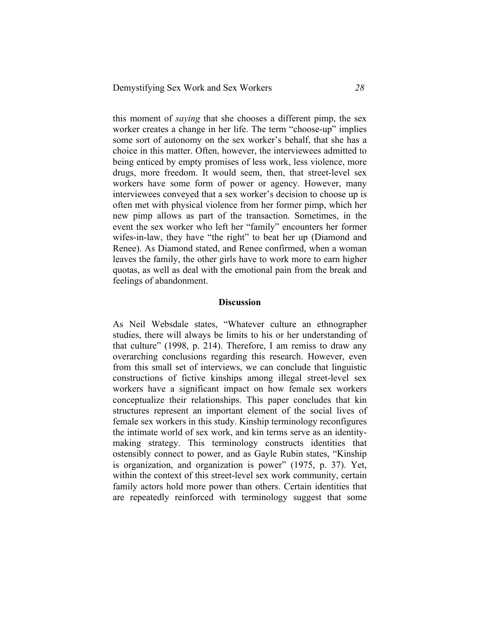this moment of *saying* that she chooses a different pimp, the sex worker creates a change in her life. The term "choose-up" implies some sort of autonomy on the sex worker's behalf, that she has a choice in this matter. Often, however, the interviewees admitted to being enticed by empty promises of less work, less violence, more drugs, more freedom. It would seem, then, that street-level sex workers have some form of power or agency. However, many interviewees conveyed that a sex worker's decision to choose up is often met with physical violence from her former pimp, which her new pimp allows as part of the transaction. Sometimes, in the event the sex worker who left her "family" encounters her former wifes-in-law, they have "the right" to beat her up (Diamond and Renee). As Diamond stated, and Renee confirmed, when a woman leaves the family, the other girls have to work more to earn higher quotas, as well as deal with the emotional pain from the break and feelings of abandonment.

### **Discussion**

As Neil Websdale states, "Whatever culture an ethnographer studies, there will always be limits to his or her understanding of that culture" (1998, p. 214). Therefore, I am remiss to draw any overarching conclusions regarding this research. However, even from this small set of interviews, we can conclude that linguistic constructions of fictive kinships among illegal street-level sex workers have a significant impact on how female sex workers conceptualize their relationships. This paper concludes that kin structures represent an important element of the social lives of female sex workers in this study. Kinship terminology reconfigures the intimate world of sex work, and kin terms serve as an identitymaking strategy. This terminology constructs identities that ostensibly connect to power, and as Gayle Rubin states, "Kinship is organization, and organization is power" (1975, p. 37). Yet, within the context of this street-level sex work community, certain family actors hold more power than others. Certain identities that are repeatedly reinforced with terminology suggest that some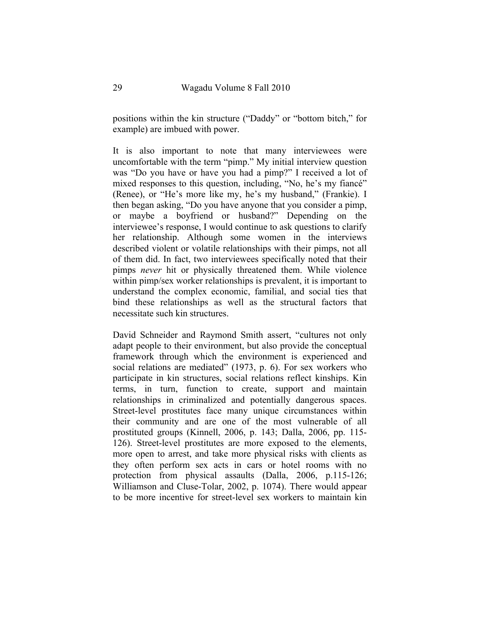positions within the kin structure ("Daddy" or "bottom bitch," for example) are imbued with power.

It is also important to note that many interviewees were uncomfortable with the term "pimp." My initial interview question was "Do you have or have you had a pimp?" I received a lot of mixed responses to this question, including, "No, he's my fiancé" (Renee), or "He's more like my, he's my husband," (Frankie). I then began asking, "Do you have anyone that you consider a pimp, or maybe a boyfriend or husband?" Depending on the interviewee's response, I would continue to ask questions to clarify her relationship. Although some women in the interviews described violent or volatile relationships with their pimps, not all of them did. In fact, two interviewees specifically noted that their pimps *never* hit or physically threatened them. While violence within pimp/sex worker relationships is prevalent, it is important to understand the complex economic, familial, and social ties that bind these relationships as well as the structural factors that necessitate such kin structures.

David Schneider and Raymond Smith assert, "cultures not only adapt people to their environment, but also provide the conceptual framework through which the environment is experienced and social relations are mediated" (1973, p. 6). For sex workers who participate in kin structures, social relations reflect kinships. Kin terms, in turn, function to create, support and maintain relationships in criminalized and potentially dangerous spaces. Street-level prostitutes face many unique circumstances within their community and are one of the most vulnerable of all prostituted groups (Kinnell, 2006, p. 143; Dalla, 2006, pp. 115- 126). Street-level prostitutes are more exposed to the elements, more open to arrest, and take more physical risks with clients as they often perform sex acts in cars or hotel rooms with no protection from physical assaults (Dalla, 2006, p.115-126; Williamson and Cluse-Tolar, 2002, p. 1074). There would appear to be more incentive for street-level sex workers to maintain kin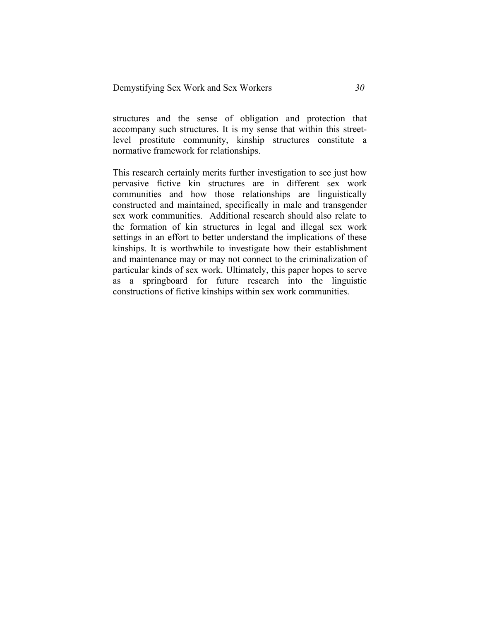structures and the sense of obligation and protection that accompany such structures. It is my sense that within this streetlevel prostitute community, kinship structures constitute a normative framework for relationships.

This research certainly merits further investigation to see just how pervasive fictive kin structures are in different sex work communities and how those relationships are linguistically constructed and maintained, specifically in male and transgender sex work communities. Additional research should also relate to the formation of kin structures in legal and illegal sex work settings in an effort to better understand the implications of these kinships. It is worthwhile to investigate how their establishment and maintenance may or may not connect to the criminalization of particular kinds of sex work. Ultimately, this paper hopes to serve as a springboard for future research into the linguistic constructions of fictive kinships within sex work communities.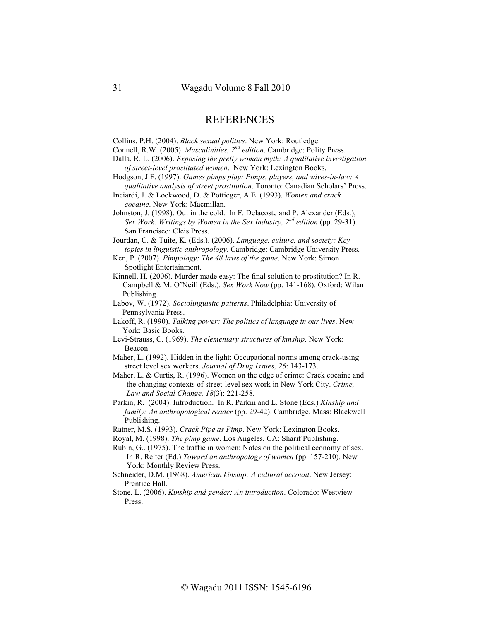## **REFERENCES**

Collins, P.H. (2004). *Black sexual politics*. New York: Routledge.

- Connell, R.W. (2005). *Masculinities, 2nd edition*. Cambridge: Polity Press.
- Dalla, R. L. (2006). *Exposing the pretty woman myth: A qualitative investigation of street-level prostituted women*. New York: Lexington Books.
- Hodgson, J.F. (1997). *Games pimps play: Pimps, players, and wives-in-law: A qualitative analysis of street prostitution*. Toronto: Canadian Scholars' Press.
- Inciardi, J. & Lockwood, D. & Pottieger, A.E. (1993). *Women and crack cocaine*. New York: Macmillan.
- Johnston, J. (1998). Out in the cold. In F. Delacoste and P. Alexander (Eds.), *Sex Work: Writings by Women in the Sex Industry, 2nd edition* (pp. 29-31). San Francisco: Cleis Press.

Jourdan, C. & Tuite, K. (Eds.). (2006). *Language, culture, and society: Key topics in linguistic anthropology*. Cambridge: Cambridge University Press.

Ken, P. (2007). *Pimpology: The 48 laws of the game*. New York: Simon Spotlight Entertainment.

- Kinnell, H. (2006). Murder made easy: The final solution to prostitution? In R. Campbell & M. O'Neill (Eds.). *Sex Work Now* (pp. 141-168). Oxford: Wilan Publishing.
- Labov, W. (1972). *Sociolinguistic patterns*. Philadelphia: University of Pennsylvania Press.
- Lakoff, R. (1990). *Talking power: The politics of language in our lives*. New York: Basic Books.
- Levi-Strauss, C. (1969). *The elementary structures of kinship*. New York: Beacon.
- Maher, L. (1992). Hidden in the light: Occupational norms among crack-using street level sex workers. *Journal of Drug Issues, 26*: 143-173.

Maher, L. & Curtis, R. (1996). Women on the edge of crime: Crack cocaine and the changing contexts of street-level sex work in New York City. *Crime, Law and Social Change, 18*(3): 221-258.

Parkin, R. (2004). Introduction. In R. Parkin and L. Stone (Eds.) *Kinship and family: An anthropological reader* (pp. 29-42). Cambridge, Mass: Blackwell Publishing.

Ratner, M.S. (1993). *Crack Pipe as Pimp*. New York: Lexington Books.

Royal, M. (1998). *The pimp game*. Los Angeles, CA: Sharif Publishing.

Schneider, D.M. (1968). *American kinship: A cultural account*. New Jersey: Prentice Hall.

Stone, L. (2006). *Kinship and gender: An introduction*. Colorado: Westview Press.

Rubin, G.. (1975). The traffic in women: Notes on the political economy of sex. In R. Reiter (Ed.) *Toward an anthropology of women* (pp. 157-210). New York: Monthly Review Press.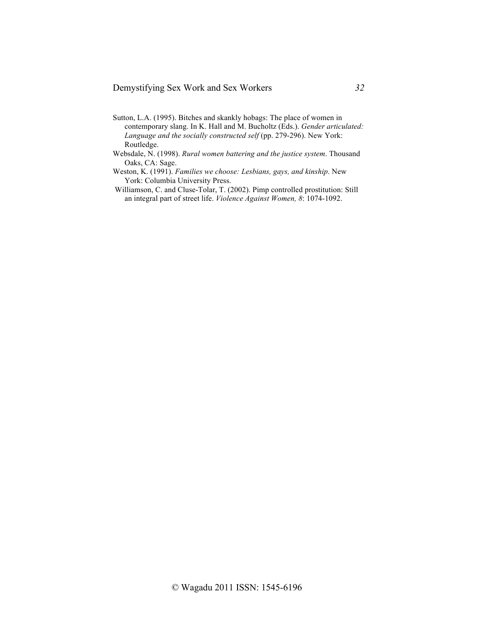- Sutton, L.A. (1995). Bitches and skankly hobags: The place of women in contemporary slang. In K. Hall and M. Bucholtz (Eds.). *Gender articulated: Language and the socially constructed self* (pp. 279-296). New York: Routledge.
- Websdale, N. (1998). *Rural women battering and the justice system*. Thousand Oaks, CA: Sage.
- Weston, K. (1991). *Families we choose: Lesbians, gays, and kinship*. New York: Columbia University Press.
- Williamson, C. and Cluse-Tolar, T. (2002). Pimp controlled prostitution: Still an integral part of street life. *Violence Against Women, 8*: 1074-1092.